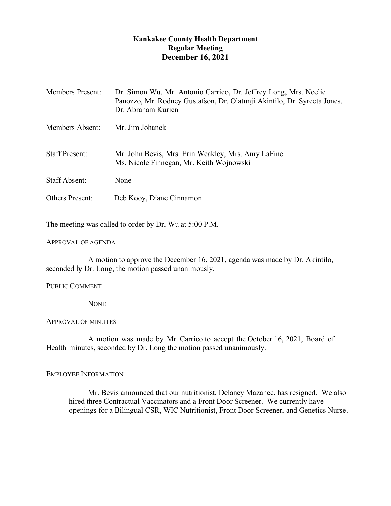# **Kankakee County Health Department Regular Meeting December 16, 2021**

| <b>Members Present:</b> | Dr. Simon Wu, Mr. Antonio Carrico, Dr. Jeffrey Long, Mrs. Neelie<br>Panozzo, Mr. Rodney Gustafson, Dr. Olatunji Akintilo, Dr. Syreeta Jones,<br>Dr. Abraham Kurien |
|-------------------------|--------------------------------------------------------------------------------------------------------------------------------------------------------------------|
| Members Absent:         | Mr. Jim Johanek                                                                                                                                                    |
| <b>Staff Present:</b>   | Mr. John Bevis, Mrs. Erin Weakley, Mrs. Amy LaFine<br>Ms. Nicole Finnegan, Mr. Keith Wojnowski                                                                     |
| <b>Staff Absent:</b>    | None                                                                                                                                                               |
| <b>Others Present:</b>  | Deb Kooy, Diane Cinnamon                                                                                                                                           |

The meeting was called to order by Dr. Wu at 5:00 P.M.

### APPROVAL OF AGENDA

A motion to approve the December 16, 2021, agenda was made by Dr. Akintilo, seconded by Dr. Long, the motion passed unanimously.

### PUBLIC COMMENT

**NONE** 

### APPROVAL OF MINUTES

A motion was made by Mr. Carrico to accept the October 16, 2021, Board of Health minutes, seconded by Dr. Long the motion passed unanimously.

### EMPLOYEE INFORMATION

Mr. Bevis announced that our nutritionist, Delaney Mazanec, has resigned. We also hired three Contractual Vaccinators and a Front Door Screener. We currently have openings for a Bilingual CSR, WIC Nutritionist, Front Door Screener, and Genetics Nurse.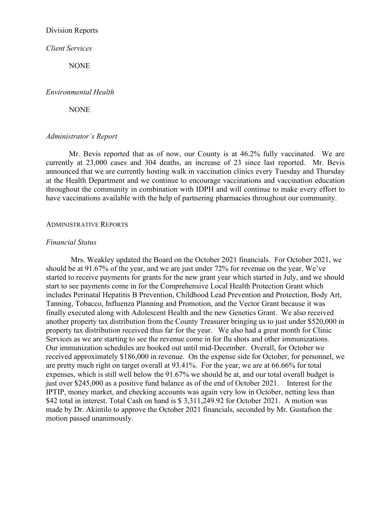### Division Reports

*Client Services*

**NONE** 

#### *Environmental Health*

**NONE** 

### *Administrator's Report*

Mr. Bevis reported that as of now, our County is at 46.2% fully vaccinated. We are currently at 23,000 cases and 304 deaths, an increase of 23 since last reported. Mr. Bevis announced that we are currently hosting walk in vaccination clinics every Tuesday and Thursday at the Health Department and we continue to encourage vaccinations and vaccination education throughout the community in combination with IDPH and will continue to make every effort to have vaccinations available with the help of partnering pharmacies throughout our community.

#### ADMINISTRATIVE REPORTS

#### *Financial Status*

Mrs. Weakley updated the Board on the October 2021 financials. For October 2021, we should be at 91.67% of the year, and we are just under 72% for revenue on the year. We've started to receive payments for grants for the new grant year which started in July, and we should start to see payments come in for the Comprehensive Local Health Protection Grant which includes Perinatal Hepatitis B Prevention, Childhood Lead Prevention and Protection, Body Art, Tanning, Tobacco, Influenza Planning and Promotion, and the Vector Grant because it was finally executed along with Adolescent Health and the new Genetics Grant. We also received another property tax distribution from the County Treasurer bringing us to just under \$520,000 in property tax distribution received thus far for the year. We also had a great month for Clinic Services as we are starting to see the revenue come in for flu shots and other immunizations. Our immunization schedules are booked out until mid-December. Overall, for October we received approximately \$186,000 in revenue. On the expense side for October, for personnel, we are pretty much right on target overall at 93.41%. For the year, we are at 66.66% for total expenses, which is still well below the 91.67% we should be at, and our total overall budget is just over \$245,000 as a positive fund balance as of the end of October 2021. Interest for the IPTIP, money market, and checking accounts was again very low in October, netting less than \$42 total in interest. Total Cash on hand is \$ 3,311,249.92 for October 2021. A motion was made by Dr. Akintilo to approve the October 2021 financials, seconded by Mr. Gustafson the motion passed unanimously.